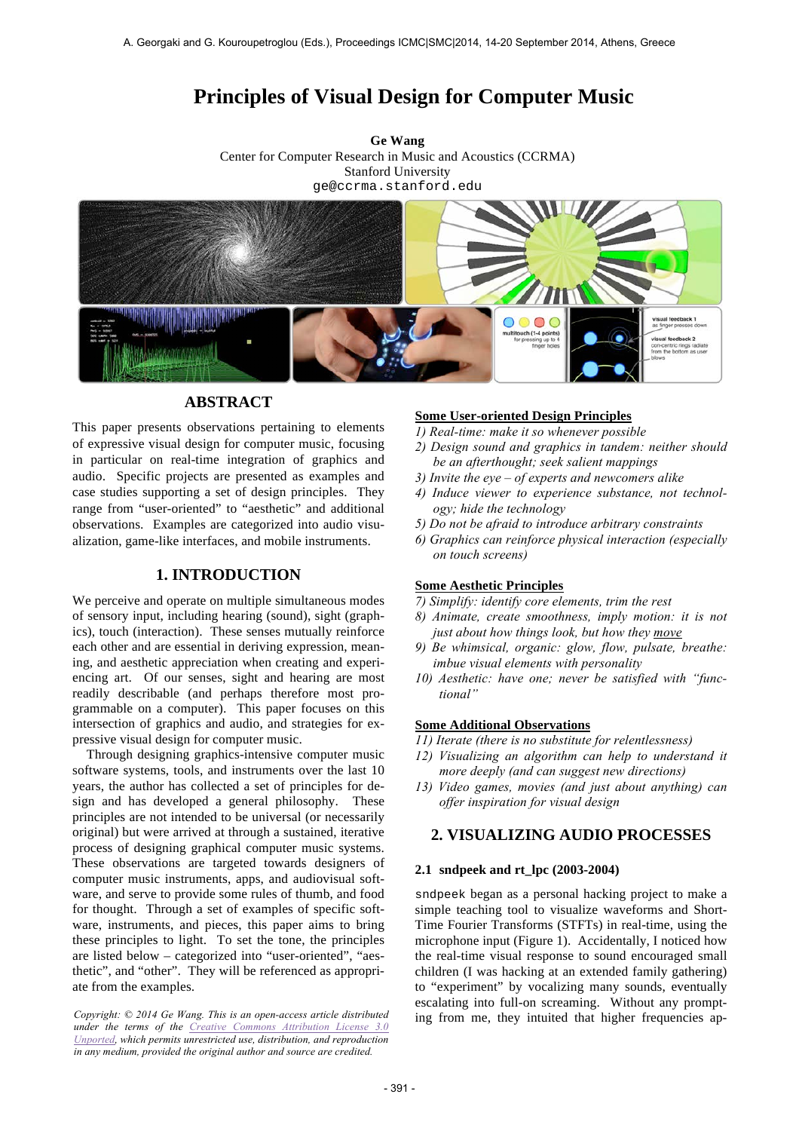# **Principles of Visual Design for Computer Music**

**Ge Wang** Center for Computer Research in Music and Acoustics (CCRMA) Stanford University ge@ccrma.stanford.edu



# **ABSTRACT**

This paper presents observations pertaining to elements of expressive visual design for computer music, focusing in particular on real-time integration of graphics and audio. Specific projects are presented as examples and case studies supporting a set of design principles. They range from "user-oriented" to "aesthetic" and additional observations. Examples are categorized into audio visualization, game-like interfaces, and mobile instruments.

# **1. INTRODUCTION**

We perceive and operate on multiple simultaneous modes of sensory input, including hearing (sound), sight (graphics), touch (interaction). These senses mutually reinforce each other and are essential in deriving expression, meaning, and aesthetic appreciation when creating and experiencing art. Of our senses, sight and hearing are most readily describable (and perhaps therefore most programmable on a computer). This paper focuses on this intersection of graphics and audio, and strategies for expressive visual design for computer music.

Through designing graphics-intensive computer music software systems, tools, and instruments over the last 10 years, the author has collected a set of principles for design and has developed a general philosophy. These principles are not intended to be universal (or necessarily original) but were arrived at through a sustained, iterative process of designing graphical computer music systems. These observations are targeted towards designers of computer music instruments, apps, and audiovisual software, and serve to provide some rules of thumb, and food for thought. Through a set of examples of specific software, instruments, and pieces, this paper aims to bring these principles to light. To set the tone, the principles are listed below – categorized into "user-oriented", "aesthetic", and "other". They will be referenced as appropriate from the examples.

*under the terms of the Creative Commons Attribution License 3.0 Unported, which permits unrestricted use, distribution, and reproduction in any medium, provided the original author and source are credited.*

## **Some User-oriented Design Principles**

- *1) Real-time: make it so whenever possible*
- *2) Design sound and graphics in tandem: neither should be an afterthought; seek salient mappings*
- *3) Invite the eye of experts and newcomers alike*
- *4) Induce viewer to experience substance, not technology; hide the technology*
- *5) Do not be afraid to introduce arbitrary constraints*
- *6) Graphics can reinforce physical interaction (especially on touch screens)*

# **Some Aesthetic Principles**

*7) Simplify: identify core elements, trim the rest*

- *8) Animate, create smoothness, imply motion: it is not just about how things look, but how they move*
- *9) Be whimsical, organic: glow, flow, pulsate, breathe: imbue visual elements with personality*
- *10) Aesthetic: have one; never be satisfied with "functional"*

#### **Some Additional Observations**

*11) Iterate (there is no substitute for relentlessness)*

- *12) Visualizing an algorithm can help to understand it more deeply (and can suggest new directions)*
- *13) Video games, movies (and just about anything) can offer inspiration for visual design*

# **2. VISUALIZING AUDIO PROCESSES**

#### **2.1 sndpeek and rt\_lpc (2003-2004)**

sndpeek began as a personal hacking project to make a simple teaching tool to visualize waveforms and Short-Time Fourier Transforms (STFTs) in real-time, using the microphone input (Figure 1). Accidentally, I noticed how the real-time visual response to sound encouraged small children (I was hacking at an extended family gathering) to "experiment" by vocalizing many sounds, eventually escalating into full-on screaming. Without any prompt-Copyright: © 2014 Ge Wang. This is an open-access article distributed ing from me, they intuited that higher frequencies ap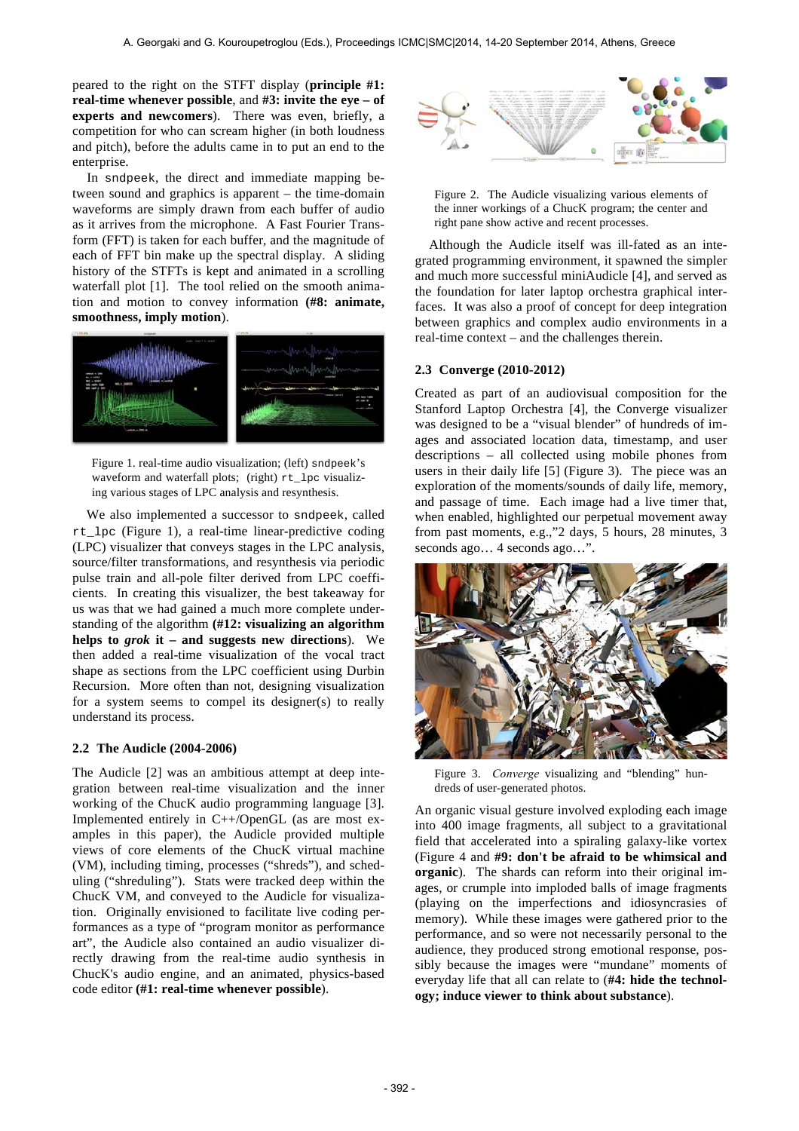peared to the right on the STFT display (**principle #1: real-time whenever possible**, and **#3: invite the eye – of experts and newcomers**). There was even, briefly, a competition for who can scream higher (in both loudness and pitch), before the adults came in to put an end to the enterprise.

In sndpeek, the direct and immediate mapping between sound and graphics is apparent – the time-domain waveforms are simply drawn from each buffer of audio as it arrives from the microphone. A Fast Fourier Transform (FFT) is taken for each buffer, and the magnitude of each of FFT bin make up the spectral display. A sliding history of the STFTs is kept and animated in a scrolling waterfall plot [1]. The tool relied on the smooth animation and motion to convey information **(#8: animate, smoothness, imply motion**).



Figure 1. real-time audio visualization; (left) sndpeek's waveform and waterfall plots; (right) rt\_lpc visualizing various stages of LPC analysis and resynthesis.

We also implemented a successor to sndpeek, called rt\_lpc (Figure 1), a real-time linear-predictive coding (LPC) visualizer that conveys stages in the LPC analysis, source/filter transformations, and resynthesis via periodic pulse train and all-pole filter derived from LPC coefficients. In creating this visualizer, the best takeaway for us was that we had gained a much more complete understanding of the algorithm **(#12: visualizing an algorithm helps to** *grok* **it – and suggests new directions**). We then added a real-time visualization of the vocal tract shape as sections from the LPC coefficient using Durbin Recursion. More often than not, designing visualization for a system seems to compel its designer(s) to really understand its process.

#### **2.2 The Audicle (2004-2006)**

The Audicle [2] was an ambitious attempt at deep integration between real-time visualization and the inner working of the ChucK audio programming language [3]. Implemented entirely in C++/OpenGL (as are most examples in this paper), the Audicle provided multiple views of core elements of the ChucK virtual machine (VM), including timing, processes ("shreds"), and scheduling ("shreduling"). Stats were tracked deep within the ChucK VM, and conveyed to the Audicle for visualization. Originally envisioned to facilitate live coding performances as a type of "program monitor as performance art", the Audicle also contained an audio visualizer directly drawing from the real-time audio synthesis in ChucK's audio engine, and an animated, physics-based code editor **(#1: real-time whenever possible**).





Although the Audicle itself was ill-fated as an integrated programming environment, it spawned the simpler and much more successful miniAudicle [4], and served as the foundation for later laptop orchestra graphical interfaces. It was also a proof of concept for deep integration between graphics and complex audio environments in a real-time context – and the challenges therein.

## **2.3 Converge (2010-2012)**

Created as part of an audiovisual composition for the Stanford Laptop Orchestra [4], the Converge visualizer was designed to be a "visual blender" of hundreds of images and associated location data, timestamp, and user descriptions – all collected using mobile phones from users in their daily life [5] (Figure 3). The piece was an exploration of the moments/sounds of daily life, memory, and passage of time. Each image had a live timer that, when enabled, highlighted our perpetual movement away from past moments, e.g.,"2 days, 5 hours, 28 minutes, 3 seconds ago... 4 seconds ago...".



Figure 3. *Converge* visualizing and "blending" hundreds of user-generated photos.

An organic visual gesture involved exploding each image into 400 image fragments, all subject to a gravitational field that accelerated into a spiraling galaxy-like vortex (Figure 4 and **#9: don't be afraid to be whimsical and organic**). The shards can reform into their original images, or crumple into imploded balls of image fragments (playing on the imperfections and idiosyncrasies of memory). While these images were gathered prior to the performance, and so were not necessarily personal to the audience, they produced strong emotional response, possibly because the images were "mundane" moments of everyday life that all can relate to (**#4: hide the technology; induce viewer to think about substance**).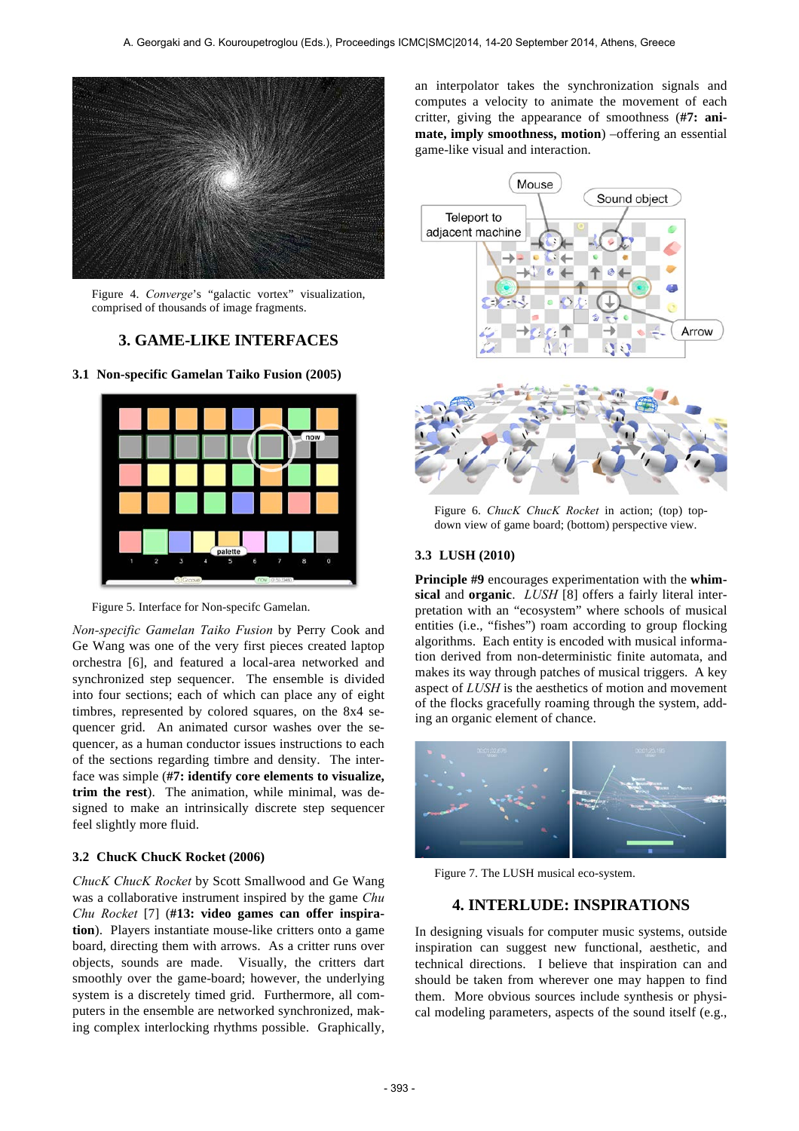

Figure 4. *Converge*'s "galactic vortex" visualization, comprised of thousands of image fragments.

# **3. GAME-LIKE INTERFACES**

**3.1 Non-specific Gamelan Taiko Fusion (2005)**





*Non-specific Gamelan Taiko Fusion* by Perry Cook and Ge Wang was one of the very first pieces created laptop orchestra [6], and featured a local-area networked and synchronized step sequencer. The ensemble is divided into four sections; each of which can place any of eight timbres, represented by colored squares, on the 8x4 sequencer grid. An animated cursor washes over the sequencer, as a human conductor issues instructions to each of the sections regarding timbre and density. The interface was simple (**#7: identify core elements to visualize, trim the rest**). The animation, while minimal, was designed to make an intrinsically discrete step sequencer feel slightly more fluid.

## **3.2 ChucK ChucK Rocket (2006)**

*ChucK ChucK Rocket* by Scott Smallwood and Ge Wang was a collaborative instrument inspired by the game *Chu Chu Rocket* [7] (**#13: video games can offer inspiration**). Players instantiate mouse-like critters onto a game board, directing them with arrows. As a critter runs over objects, sounds are made. Visually, the critters dart smoothly over the game-board; however, the underlying system is a discretely timed grid. Furthermore, all computers in the ensemble are networked synchronized, making complex interlocking rhythms possible. Graphically,

an interpolator takes the synchronization signals and computes a velocity to animate the movement of each critter, giving the appearance of smoothness (**#7: animate, imply smoothness, motion**) –offering an essential game-like visual and interaction.



Figure 6. *ChucK ChucK Rocket* in action; (top) topdown view of game board; (bottom) perspective view.

## **3.3 LUSH (2010)**

**Principle #9** encourages experimentation with the **whimsical** and **organic**. *LUSH* [8] offers a fairly literal interpretation with an "ecosystem" where schools of musical entities (i.e., "fishes") roam according to group flocking algorithms. Each entity is encoded with musical information derived from non-deterministic finite automata, and makes its way through patches of musical triggers. A key aspect of *LUSH* is the aesthetics of motion and movement of the flocks gracefully roaming through the system, adding an organic element of chance.



Figure 7. The LUSH musical eco-system.

# **4. INTERLUDE: INSPIRATIONS**

In designing visuals for computer music systems, outside inspiration can suggest new functional, aesthetic, and technical directions. I believe that inspiration can and should be taken from wherever one may happen to find them. More obvious sources include synthesis or physical modeling parameters, aspects of the sound itself (e.g.,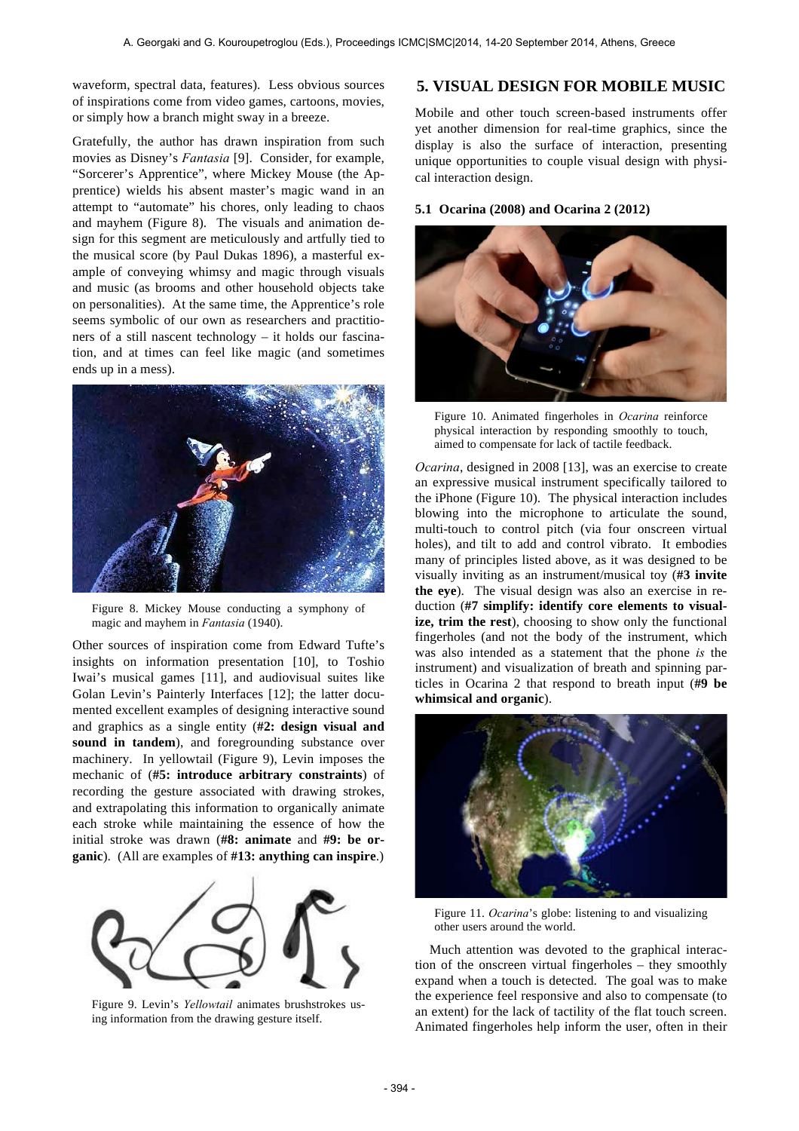waveform, spectral data, features). Less obvious sources of inspirations come from video games, cartoons, movies, or simply how a branch might sway in a breeze.

Gratefully, the author has drawn inspiration from such movies as Disney's *Fantasia* [9]. Consider, for example, "Sorcerer's Apprentice", where Mickey Mouse (the Apprentice) wields his absent master's magic wand in an attempt to "automate" his chores, only leading to chaos and mayhem (Figure 8). The visuals and animation design for this segment are meticulously and artfully tied to the musical score (by Paul Dukas 1896), a masterful example of conveying whimsy and magic through visuals and music (as brooms and other household objects take on personalities). At the same time, the Apprentice's role seems symbolic of our own as researchers and practitioners of a still nascent technology – it holds our fascination, and at times can feel like magic (and sometimes ends up in a mess).



Figure 8. Mickey Mouse conducting a symphony of magic and mayhem in *Fantasia* (1940).

Other sources of inspiration come from Edward Tufte's insights on information presentation [10], to Toshio Iwai's musical games [11], and audiovisual suites like Golan Levin's Painterly Interfaces [12]; the latter documented excellent examples of designing interactive sound and graphics as a single entity (**#2: design visual and sound in tandem**), and foregrounding substance over machinery. In yellowtail (Figure 9), Levin imposes the mechanic of (**#5: introduce arbitrary constraints**) of recording the gesture associated with drawing strokes, and extrapolating this information to organically animate each stroke while maintaining the essence of how the initial stroke was drawn (**#8: animate** and **#9: be organic**). (All are examples of **#13: anything can inspire**.)



Figure 9. Levin's *Yellowtail* animates brushstrokes using information from the drawing gesture itself.

# **5. VISUAL DESIGN FOR MOBILE MUSIC**

Mobile and other touch screen-based instruments offer yet another dimension for real-time graphics, since the display is also the surface of interaction, presenting unique opportunities to couple visual design with physical interaction design.

#### **5.1 Ocarina (2008) and Ocarina 2 (2012)**



Figure 10. Animated fingerholes in *Ocarina* reinforce physical interaction by responding smoothly to touch, aimed to compensate for lack of tactile feedback.

*Ocarina*, designed in 2008 [13], was an exercise to create an expressive musical instrument specifically tailored to the iPhone (Figure 10). The physical interaction includes blowing into the microphone to articulate the sound, multi-touch to control pitch (via four onscreen virtual holes), and tilt to add and control vibrato. It embodies many of principles listed above, as it was designed to be visually inviting as an instrument/musical toy (**#3 invite the eye**). The visual design was also an exercise in reduction (**#7 simplify: identify core elements to visualize, trim the rest**), choosing to show only the functional fingerholes (and not the body of the instrument, which was also intended as a statement that the phone *is* the instrument) and visualization of breath and spinning particles in Ocarina 2 that respond to breath input (**#9 be whimsical and organic**).



Figure 11. *Ocarina*'s globe: listening to and visualizing other users around the world.

Much attention was devoted to the graphical interaction of the onscreen virtual fingerholes – they smoothly expand when a touch is detected. The goal was to make the experience feel responsive and also to compensate (to an extent) for the lack of tactility of the flat touch screen. Animated fingerholes help inform the user, often in their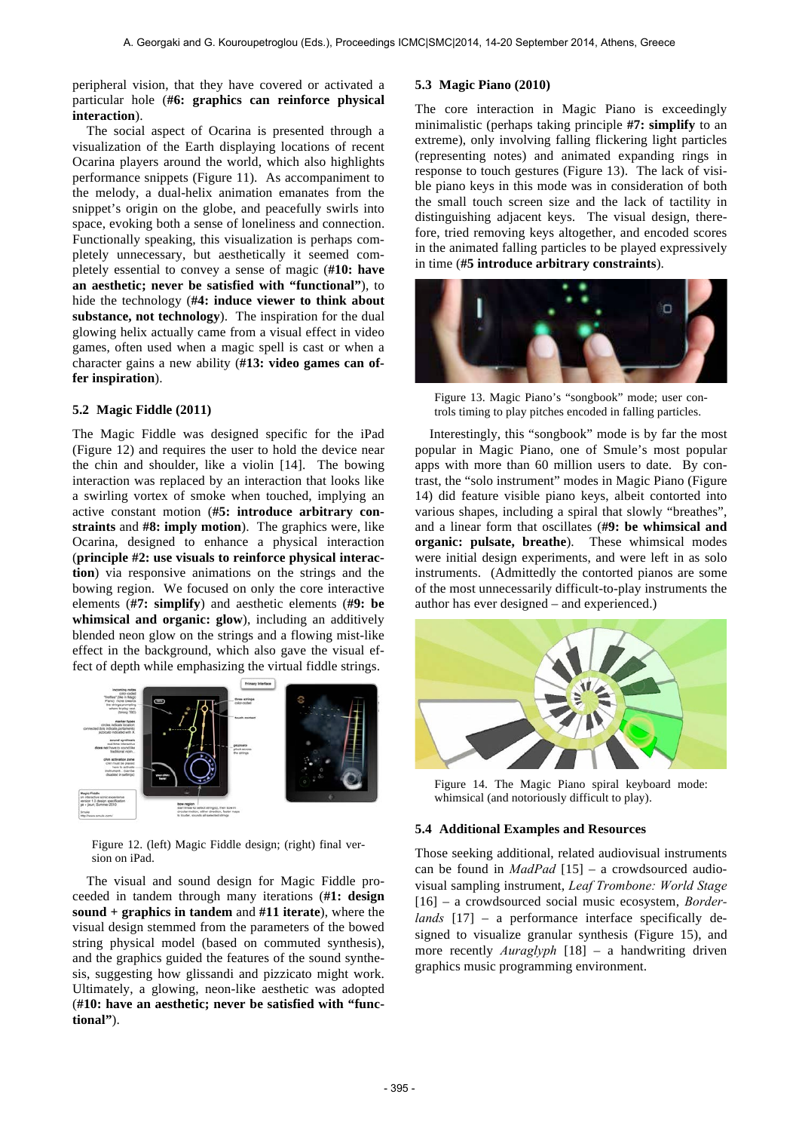peripheral vision, that they have covered or activated a particular hole (**#6: graphics can reinforce physical interaction**).

The social aspect of Ocarina is presented through a visualization of the Earth displaying locations of recent Ocarina players around the world, which also highlights performance snippets (Figure 11). As accompaniment to the melody, a dual-helix animation emanates from the snippet's origin on the globe, and peacefully swirls into space, evoking both a sense of loneliness and connection. Functionally speaking, this visualization is perhaps completely unnecessary, but aesthetically it seemed completely essential to convey a sense of magic (**#10: have an aesthetic; never be satisfied with "functional"**), to hide the technology (**#4: induce viewer to think about substance, not technology**). The inspiration for the dual glowing helix actually came from a visual effect in video games, often used when a magic spell is cast or when a character gains a new ability (**#13: video games can offer inspiration**).

#### **5.2 Magic Fiddle (2011)**

The Magic Fiddle was designed specific for the iPad (Figure 12) and requires the user to hold the device near the chin and shoulder, like a violin [14]. The bowing interaction was replaced by an interaction that looks like a swirling vortex of smoke when touched, implying an active constant motion (**#5: introduce arbitrary constraints** and **#8: imply motion**). The graphics were, like Ocarina, designed to enhance a physical interaction (**principle #2: use visuals to reinforce physical interaction**) via responsive animations on the strings and the bowing region. We focused on only the core interactive elements (**#7: simplify**) and aesthetic elements (**#9: be whimsical and organic: glow**), including an additively blended neon glow on the strings and a flowing mist-like effect in the background, which also gave the visual effect of depth while emphasizing the virtual fiddle strings.



Figure 12. (left) Magic Fiddle design; (right) final version on iPad.

The visual and sound design for Magic Fiddle proceeded in tandem through many iterations (**#1: design sound + graphics in tandem** and **#11 iterate**), where the visual design stemmed from the parameters of the bowed string physical model (based on commuted synthesis), and the graphics guided the features of the sound synthesis, suggesting how glissandi and pizzicato might work. Ultimately, a glowing, neon-like aesthetic was adopted (**#10: have an aesthetic; never be satisfied with "functional"**).

## **5.3 Magic Piano (2010)**

The core interaction in Magic Piano is exceedingly minimalistic (perhaps taking principle **#7: simplify** to an extreme), only involving falling flickering light particles (representing notes) and animated expanding rings in response to touch gestures (Figure 13). The lack of visible piano keys in this mode was in consideration of both the small touch screen size and the lack of tactility in distinguishing adjacent keys. The visual design, therefore, tried removing keys altogether, and encoded scores in the animated falling particles to be played expressively in time (**#5 introduce arbitrary constraints**).



Figure 13. Magic Piano's "songbook" mode; user controls timing to play pitches encoded in falling particles.

Interestingly, this "songbook" mode is by far the most popular in Magic Piano, one of Smule's most popular apps with more than 60 million users to date. By contrast, the "solo instrument" modes in Magic Piano (Figure 14) did feature visible piano keys, albeit contorted into various shapes, including a spiral that slowly "breathes", and a linear form that oscillates (**#9: be whimsical and organic: pulsate, breathe**). These whimsical modes were initial design experiments, and were left in as solo instruments. (Admittedly the contorted pianos are some of the most unnecessarily difficult-to-play instruments the author has ever designed – and experienced.)



Figure 14. The Magic Piano spiral keyboard mode: whimsical (and notoriously difficult to play).

#### **5.4 Additional Examples and Resources**

Those seeking additional, related audiovisual instruments can be found in *MadPad* [15] – a crowdsourced audiovisual sampling instrument, *Leaf Trombone: World Stage* [16] – a crowdsourced social music ecosystem, *Borderlands* [17] – a performance interface specifically designed to visualize granular synthesis (Figure 15), and more recently *Auraglyph* [18] – a handwriting driven graphics music programming environment.